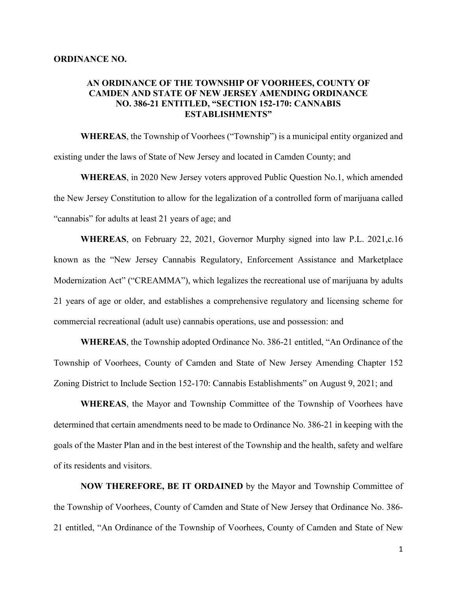## **AN ORDINANCE OF THE TOWNSHIP OF VOORHEES, COUNTY OF CAMDEN AND STATE OF NEW JERSEY AMENDING ORDINANCE NO. 386-21 ENTITLED, "SECTION 152-170: CANNABIS ESTABLISHMENTS"**

**WHEREAS**, the Township of Voorhees ("Township") is a municipal entity organized and existing under the laws of State of New Jersey and located in Camden County; and

**WHEREAS**, in 2020 New Jersey voters approved Public Question No.1, which amended the New Jersey Constitution to allow for the legalization of a controlled form of marijuana called "cannabis" for adults at least 21 years of age; and

**WHEREAS**, on February 22, 2021, Governor Murphy signed into law P.L. 2021,c.16 known as the "New Jersey Cannabis Regulatory, Enforcement Assistance and Marketplace Modernization Act" ("CREAMMA"), which legalizes the recreational use of marijuana by adults 21 years of age or older, and establishes a comprehensive regulatory and licensing scheme for commercial recreational (adult use) cannabis operations, use and possession: and

**WHEREAS**, the Township adopted Ordinance No. 386-21 entitled, "An Ordinance of the Township of Voorhees, County of Camden and State of New Jersey Amending Chapter 152 Zoning District to Include Section 152-170: Cannabis Establishments" on August 9, 2021; and

**WHEREAS**, the Mayor and Township Committee of the Township of Voorhees have determined that certain amendments need to be made to Ordinance No. 386-21 in keeping with the goals of the Master Plan and in the best interest of the Township and the health, safety and welfare of its residents and visitors.

**NOW THEREFORE, BE IT ORDAINED** by the Mayor and Township Committee of the Township of Voorhees, County of Camden and State of New Jersey that Ordinance No. 386- 21 entitled, "An Ordinance of the Township of Voorhees, County of Camden and State of New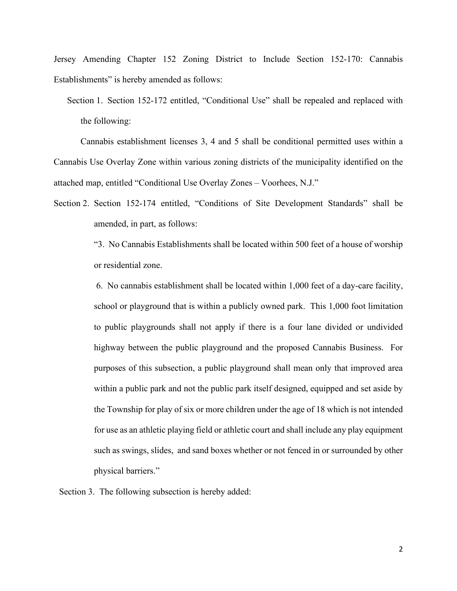Jersey Amending Chapter 152 Zoning District to Include Section 152-170: Cannabis Establishments" is hereby amended as follows:

Cannabis establishment licenses 3, 4 and 5 shall be conditional permitted uses within a Cannabis Use Overlay Zone within various zoning districts of the municipality identified on the attached map, entitled "Conditional Use Overlay Zones – Voorhees, N.J."

Section 2. Section 152-174 entitled, "Conditions of Site Development Standards" shall be amended, in part, as follows:

> "3. No Cannabis Establishments shall be located within 500 feet of a house of worship or residential zone.

> 6. No cannabis establishment shall be located within 1,000 feet of a day-care facility, school or playground that is within a publicly owned park. This 1,000 foot limitation to public playgrounds shall not apply if there is a four lane divided or undivided highway between the public playground and the proposed Cannabis Business. For purposes of this subsection, a public playground shall mean only that improved area within a public park and not the public park itself designed, equipped and set aside by the Township for play of six or more children under the age of 18 which is not intended for use as an athletic playing field or athletic court and shall include any play equipment such as swings, slides, and sand boxes whether or not fenced in or surrounded by other physical barriers."

Section 3. The following subsection is hereby added:

Section 1. Section 152-172 entitled, "Conditional Use" shall be repealed and replaced with the following: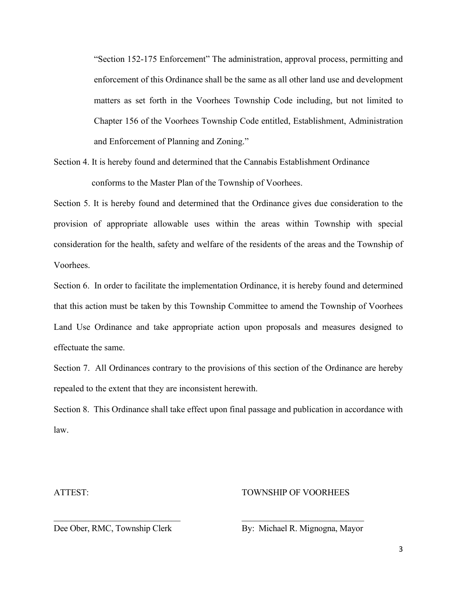"Section 152-175 Enforcement" The administration, approval process, permitting and enforcement of this Ordinance shall be the same as all other land use and development matters as set forth in the Voorhees Township Code including, but not limited to Chapter 156 of the Voorhees Township Code entitled, Establishment, Administration and Enforcement of Planning and Zoning."

Section 4. It is hereby found and determined that the Cannabis Establishment Ordinance conforms to the Master Plan of the Township of Voorhees.

Section 5. It is hereby found and determined that the Ordinance gives due consideration to the provision of appropriate allowable uses within the areas within Township with special consideration for the health, safety and welfare of the residents of the areas and the Township of Voorhees.

Section 6. In order to facilitate the implementation Ordinance, it is hereby found and determined that this action must be taken by this Township Committee to amend the Township of Voorhees Land Use Ordinance and take appropriate action upon proposals and measures designed to effectuate the same.

Section 7. All Ordinances contrary to the provisions of this section of the Ordinance are hereby repealed to the extent that they are inconsistent herewith.

Section 8. This Ordinance shall take effect upon final passage and publication in accordance with law.

\_\_\_\_\_\_\_\_\_\_\_\_\_\_\_\_\_\_\_\_\_\_\_\_\_\_\_\_\_ \_\_\_\_\_\_\_\_\_\_\_\_\_\_\_\_\_\_\_\_\_\_\_\_\_\_\_\_

## ATTEST: TOWNSHIP OF VOORHEES

Dee Ober, RMC, Township Clerk By: Michael R. Mignogna, Mayor